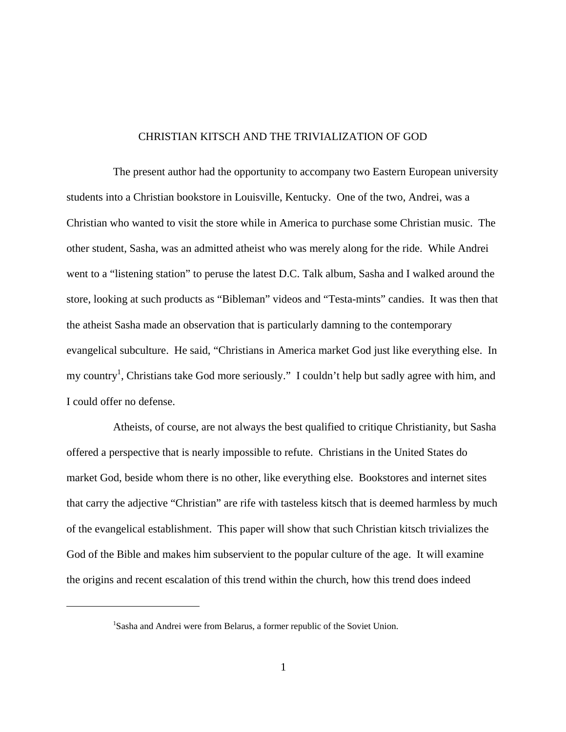# CHRISTIAN KITSCH AND THE TRIVIALIZATION OF GOD

The present author had the opportunity to accompany two Eastern European university students into a Christian bookstore in Louisville, Kentucky. One of the two, Andrei, was a Christian who wanted to visit the store while in America to purchase some Christian music. The other student, Sasha, was an admitted atheist who was merely along for the ride. While Andrei went to a "listening station" to peruse the latest D.C. Talk album, Sasha and I walked around the store, looking at such products as "Bibleman" videos and "Testa-mints" candies. It was then that the atheist Sasha made an observation that is particularly damning to the contemporary evangelical subculture. He said, "Christians in America market God just like everything else. In my country<sup>1</sup>, Christians take God more seriously." I couldn't help but sadly agree with him, and I could offer no defense.

Atheists, of course, are not always the best qualified to critique Christianity, but Sasha offered a perspective that is nearly impossible to refute. Christians in the United States do market God, beside whom there is no other, like everything else. Bookstores and internet sites that carry the adjective "Christian" are rife with tasteless kitsch that is deemed harmless by much of the evangelical establishment. This paper will show that such Christian kitsch trivializes the God of the Bible and makes him subservient to the popular culture of the age. It will examine the origins and recent escalation of this trend within the church, how this trend does indeed

1

<sup>&</sup>lt;sup>1</sup>Sasha and Andrei were from Belarus, a former republic of the Soviet Union.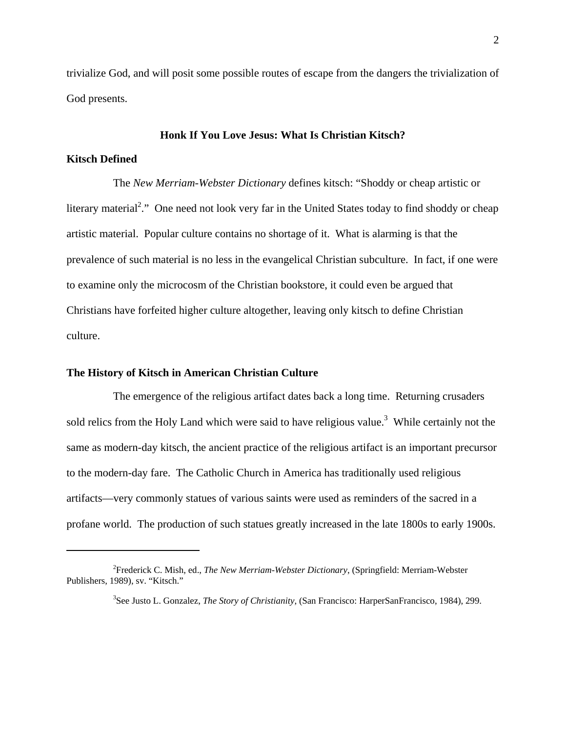trivialize God, and will posit some possible routes of escape from the dangers the trivialization of God presents.

## **Honk If You Love Jesus: What Is Christian Kitsch?**

#### **Kitsch Defined**

1

The *New Merriam-Webster Dictionary* defines kitsch: "Shoddy or cheap artistic or literary material<sup>2</sup>." One need not look very far in the United States today to find shoddy or cheap artistic material. Popular culture contains no shortage of it. What is alarming is that the prevalence of such material is no less in the evangelical Christian subculture. In fact, if one were to examine only the microcosm of the Christian bookstore, it could even be argued that Christians have forfeited higher culture altogether, leaving only kitsch to define Christian culture.

# **The History of Kitsch in American Christian Culture**

The emergence of the religious artifact dates back a long time. Returning crusaders sold relics from the Holy Land which were said to have religious value.<sup>3</sup> While certainly not the same as modern-day kitsch, the ancient practice of the religious artifact is an important precursor to the modern-day fare. The Catholic Church in America has traditionally used religious artifacts—very commonly statues of various saints were used as reminders of the sacred in a profane world. The production of such statues greatly increased in the late 1800s to early 1900s.

<sup>2</sup> Frederick C. Mish, ed., *The New Merriam-Webster Dictionary*, (Springfield: Merriam-Webster Publishers, 1989), sv. "Kitsch."

<sup>3</sup> See Justo L. Gonzalez, *The Story of Christianity*, (San Francisco: HarperSanFrancisco, 1984), 299.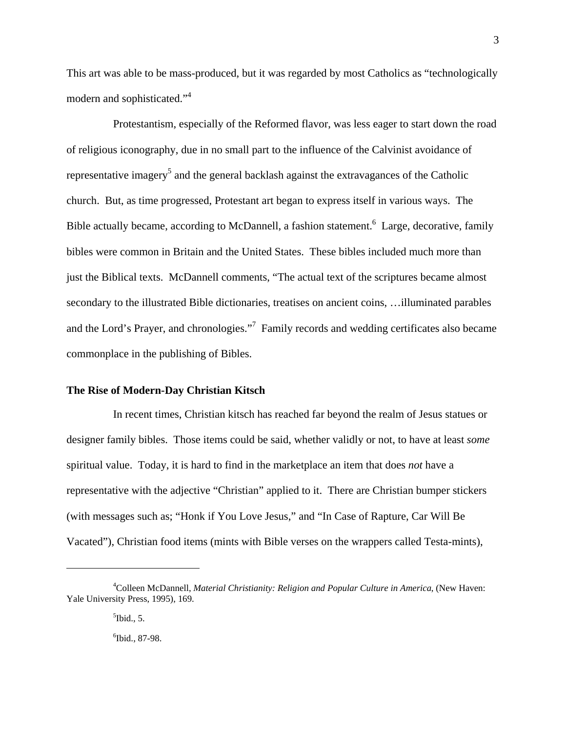This art was able to be mass-produced, but it was regarded by most Catholics as "technologically modern and sophisticated."<sup>4</sup>

Protestantism, especially of the Reformed flavor, was less eager to start down the road of religious iconography, due in no small part to the influence of the Calvinist avoidance of representative imagery<sup>5</sup> and the general backlash against the extravagances of the Catholic church. But, as time progressed, Protestant art began to express itself in various ways. The Bible actually became, according to McDannell, a fashion statement.<sup>6</sup> Large, decorative, family bibles were common in Britain and the United States. These bibles included much more than just the Biblical texts. McDannell comments, "The actual text of the scriptures became almost secondary to the illustrated Bible dictionaries, treatises on ancient coins, …illuminated parables and the Lord's Prayer, and chronologies."<sup>7</sup> Family records and wedding certificates also became commonplace in the publishing of Bibles.

## **The Rise of Modern-Day Christian Kitsch**

In recent times, Christian kitsch has reached far beyond the realm of Jesus statues or designer family bibles. Those items could be said, whether validly or not, to have at least *some*  spiritual value. Today, it is hard to find in the marketplace an item that does *not* have a representative with the adjective "Christian" applied to it. There are Christian bumper stickers (with messages such as; "Honk if You Love Jesus," and "In Case of Rapture, Car Will Be Vacated"), Christian food items (mints with Bible verses on the wrappers called Testa-mints),

<sup>4</sup> Colleen McDannell, *Material Christianity: Religion and Popular Culture in America*, (New Haven: Yale University Press, 1995), 169.

 $<sup>5</sup>$  Ibid., 5.</sup>

<sup>6</sup> Ibid., 87-98.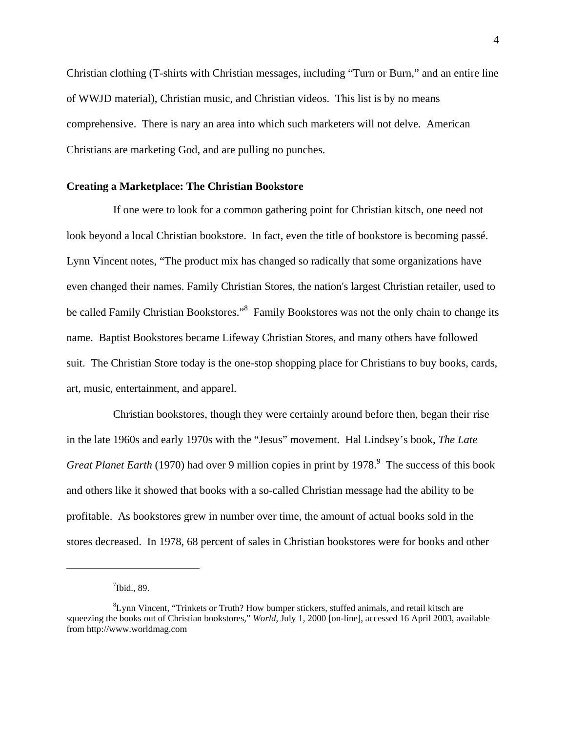Christian clothing (T-shirts with Christian messages, including "Turn or Burn," and an entire line of WWJD material), Christian music, and Christian videos. This list is by no means comprehensive. There is nary an area into which such marketers will not delve. American Christians are marketing God, and are pulling no punches.

## **Creating a Marketplace: The Christian Bookstore**

If one were to look for a common gathering point for Christian kitsch, one need not look beyond a local Christian bookstore. In fact, even the title of bookstore is becoming passé. Lynn Vincent notes, "The product mix has changed so radically that some organizations have even changed their names. Family Christian Stores, the nation's largest Christian retailer, used to be called Family Christian Bookstores."<sup>8</sup> Family Bookstores was not the only chain to change its name. Baptist Bookstores became Lifeway Christian Stores, and many others have followed suit. The Christian Store today is the one-stop shopping place for Christians to buy books, cards, art, music, entertainment, and apparel.

Christian bookstores, though they were certainly around before then, began their rise in the late 1960s and early 1970s with the "Jesus" movement. Hal Lindsey's book, *The Late Great Planet Earth* (1970) had over 9 million copies in print by 1978.<sup>9</sup> The success of this book and others like it showed that books with a so-called Christian message had the ability to be profitable. As bookstores grew in number over time, the amount of actual books sold in the stores decreased. In 1978, 68 percent of sales in Christian bookstores were for books and other

 $7$ Ibid., 89.

<sup>8</sup> Lynn Vincent, "Trinkets or Truth? How bumper stickers, stuffed animals, and retail kitsch are squeezing the books out of Christian bookstores," *World*, July 1, 2000 [on-line], accessed 16 April 2003, available from http://www.worldmag.com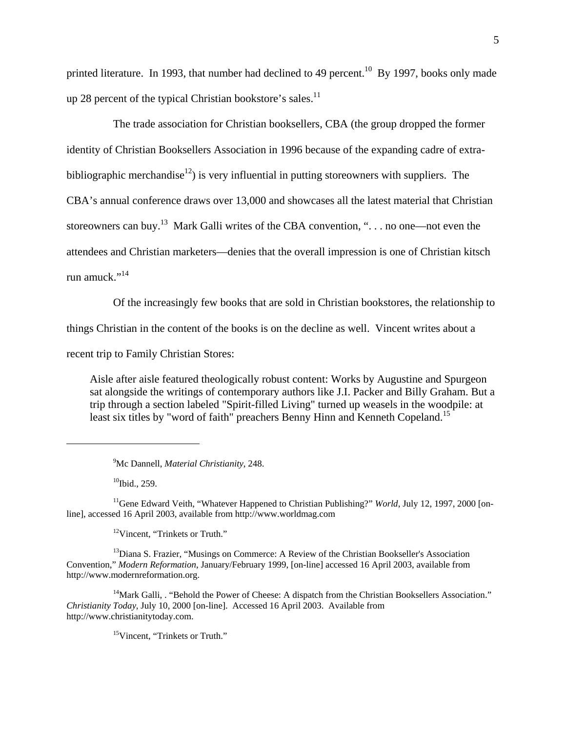printed literature. In 1993, that number had declined to 49 percent.<sup>10</sup> By 1997, books only made up 28 percent of the typical Christian bookstore's sales. $^{11}$ 

The trade association for Christian booksellers, CBA (the group dropped the former identity of Christian Booksellers Association in 1996 because of the expanding cadre of extrabibliographic merchandise<sup>12</sup>) is very influential in putting storeowners with suppliers. The CBA's annual conference draws over 13,000 and showcases all the latest material that Christian storeowners can buy.<sup>13</sup> Mark Galli writes of the CBA convention, " $\dots$  no one—not even the attendees and Christian marketers—denies that the overall impression is one of Christian kitsch run amuck."<sup>14</sup>

Of the increasingly few books that are sold in Christian bookstores, the relationship to

things Christian in the content of the books is on the decline as well. Vincent writes about a

recent trip to Family Christian Stores:

Aisle after aisle featured theologically robust content: Works by Augustine and Spurgeon sat alongside the writings of contemporary authors like J.I. Packer and Billy Graham. But a trip through a section labeled "Spirit-filled Living" turned up weasels in the woodpile: at least six titles by "word of faith" preachers Benny Hinn and Kenneth Copeland.<sup>15</sup>

 $10$ Ibid., 259.

 $\overline{a}$ 

<sup>11</sup>Gene Edward Veith, "Whatever Happened to Christian Publishing?" *World*, July 12, 1997, 2000 [online], accessed 16 April 2003, available from http://www.worldmag.com

12Vincent, "Trinkets or Truth."

<sup>13</sup>Diana S. Frazier, "Musings on Commerce: A Review of the Christian Bookseller's Association Convention," *Modern Reformation*, January/February 1999, [on-line] accessed 16 April 2003, available from http://www.modernreformation.org.

 $14$ Mark Galli, . "Behold the Power of Cheese: A dispatch from the Christian Booksellers Association." *Christianity Today*, July 10, 2000 [on-line]. Accessed 16 April 2003. Available from http://www.christianitytoday.com.

15Vincent, "Trinkets or Truth."

<sup>9</sup> Mc Dannell, *Material Christianity*, 248.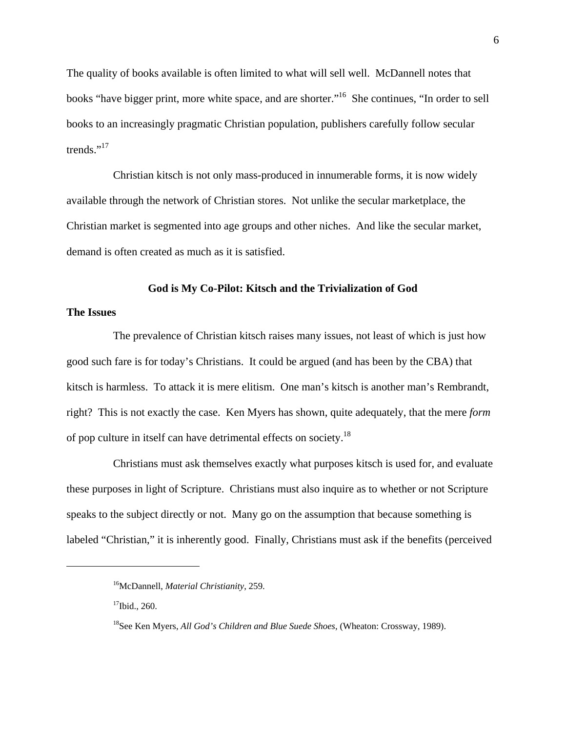The quality of books available is often limited to what will sell well. McDannell notes that books "have bigger print, more white space, and are shorter."<sup>16</sup> She continues, "In order to sell books to an increasingly pragmatic Christian population, publishers carefully follow secular trends."<sup>17</sup>

Christian kitsch is not only mass-produced in innumerable forms, it is now widely available through the network of Christian stores. Not unlike the secular marketplace, the Christian market is segmented into age groups and other niches. And like the secular market, demand is often created as much as it is satisfied.

### **God is My Co-Pilot: Kitsch and the Trivialization of God**

# **The Issues**

 $\overline{a}$ 

The prevalence of Christian kitsch raises many issues, not least of which is just how good such fare is for today's Christians. It could be argued (and has been by the CBA) that kitsch is harmless. To attack it is mere elitism. One man's kitsch is another man's Rembrandt, right? This is not exactly the case. Ken Myers has shown, quite adequately, that the mere *form* of pop culture in itself can have detrimental effects on society.18

Christians must ask themselves exactly what purposes kitsch is used for, and evaluate these purposes in light of Scripture. Christians must also inquire as to whether or not Scripture speaks to the subject directly or not. Many go on the assumption that because something is labeled "Christian," it is inherently good. Finally, Christians must ask if the benefits (perceived

<sup>16</sup>McDannell, *Material Christianity*, 259.

<sup>&</sup>lt;sup>17</sup>Ibid., 260.

<sup>18</sup>See Ken Myers, *All God's Children and Blue Suede Shoes*, (Wheaton: Crossway, 1989).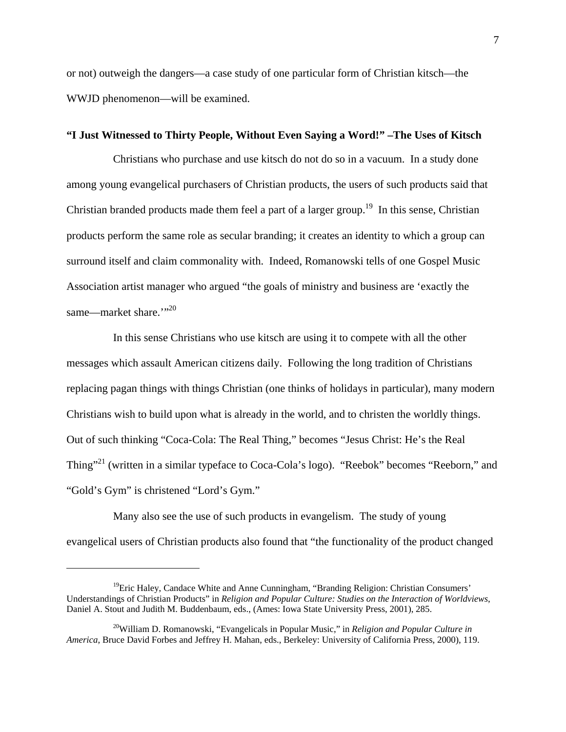or not) outweigh the dangers—a case study of one particular form of Christian kitsch—the WWJD phenomenon—will be examined.

# **"I Just Witnessed to Thirty People, Without Even Saying a Word!" –The Uses of Kitsch**

Christians who purchase and use kitsch do not do so in a vacuum. In a study done among young evangelical purchasers of Christian products, the users of such products said that Christian branded products made them feel a part of a larger group.<sup>19</sup> In this sense, Christian products perform the same role as secular branding; it creates an identity to which a group can surround itself and claim commonality with. Indeed, Romanowski tells of one Gospel Music Association artist manager who argued "the goals of ministry and business are 'exactly the same—market share."<sup>30</sup>

In this sense Christians who use kitsch are using it to compete with all the other messages which assault American citizens daily. Following the long tradition of Christians replacing pagan things with things Christian (one thinks of holidays in particular), many modern Christians wish to build upon what is already in the world, and to christen the worldly things. Out of such thinking "Coca-Cola: The Real Thing," becomes "Jesus Christ: He's the Real Thing"<sup>21</sup> (written in a similar typeface to Coca-Cola's logo). "Reebok" becomes "Reeborn," and "Gold's Gym" is christened "Lord's Gym."

Many also see the use of such products in evangelism. The study of young evangelical users of Christian products also found that "the functionality of the product changed

<sup>&</sup>lt;sup>19</sup>Eric Haley, Candace White and Anne Cunningham, "Branding Religion: Christian Consumers' Understandings of Christian Products" in *Religion and Popular Culture: Studies on the Interaction of Worldviews*, Daniel A. Stout and Judith M. Buddenbaum, eds., (Ames: Iowa State University Press, 2001), 285.

<sup>20</sup>William D. Romanowski, "Evangelicals in Popular Music," in *Religion and Popular Culture in America*, Bruce David Forbes and Jeffrey H. Mahan, eds., Berkeley: University of California Press, 2000), 119.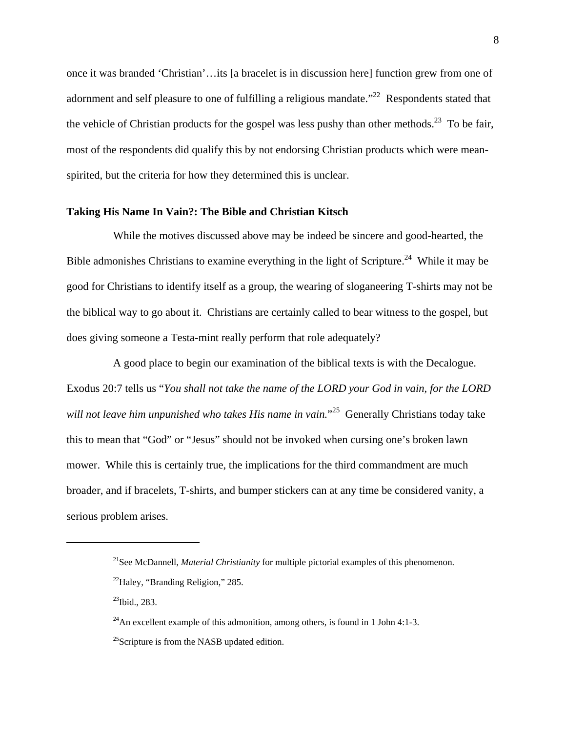once it was branded 'Christian'…its [a bracelet is in discussion here] function grew from one of adornment and self pleasure to one of fulfilling a religious mandate."<sup>22</sup> Respondents stated that the vehicle of Christian products for the gospel was less pushy than other methods.<sup>23</sup> To be fair, most of the respondents did qualify this by not endorsing Christian products which were meanspirited, but the criteria for how they determined this is unclear.

# **Taking His Name In Vain?: The Bible and Christian Kitsch**

While the motives discussed above may be indeed be sincere and good-hearted, the Bible admonishes Christians to examine everything in the light of Scripture.<sup>24</sup> While it may be good for Christians to identify itself as a group, the wearing of sloganeering T-shirts may not be the biblical way to go about it. Christians are certainly called to bear witness to the gospel, but does giving someone a Testa-mint really perform that role adequately?

A good place to begin our examination of the biblical texts is with the Decalogue. Exodus 20:7 tells us "*You shall not take the name of the LORD your God in vain, for the LORD will not leave him unpunished who takes His name in vain.*" 25 Generally Christians today take this to mean that "God" or "Jesus" should not be invoked when cursing one's broken lawn mower. While this is certainly true, the implications for the third commandment are much broader, and if bracelets, T-shirts, and bumper stickers can at any time be considered vanity, a serious problem arises.

 $^{23}$ Ibid., 283.

 $\overline{a}$ 

<sup>21</sup>See McDannell, *Material Christianity* for multiple pictorial examples of this phenomenon.

 $^{22}$ Haley, "Branding Religion," 285.

<sup>&</sup>lt;sup>24</sup>An excellent example of this admonition, among others, is found in 1 John 4:1-3.

 $^{25}$ Scripture is from the NASB updated edition.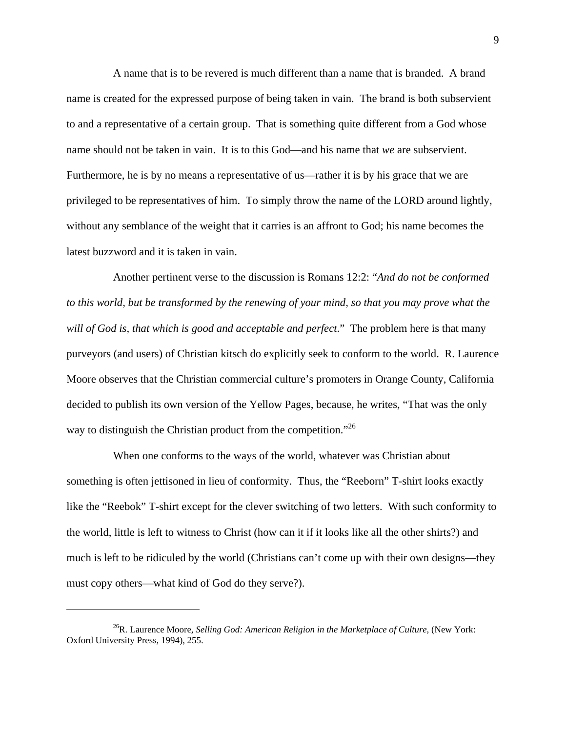A name that is to be revered is much different than a name that is branded. A brand name is created for the expressed purpose of being taken in vain. The brand is both subservient to and a representative of a certain group. That is something quite different from a God whose name should not be taken in vain. It is to this God—and his name that *we* are subservient. Furthermore, he is by no means a representative of us—rather it is by his grace that we are privileged to be representatives of him. To simply throw the name of the LORD around lightly, without any semblance of the weight that it carries is an affront to God; his name becomes the latest buzzword and it is taken in vain.

Another pertinent verse to the discussion is Romans 12:2: "*And do not be conformed to this world, but be transformed by the renewing of your mind, so that you may prove what the will of God is, that which is good and acceptable and perfect*." The problem here is that many purveyors (and users) of Christian kitsch do explicitly seek to conform to the world. R. Laurence Moore observes that the Christian commercial culture's promoters in Orange County, California decided to publish its own version of the Yellow Pages, because, he writes, "That was the only way to distinguish the Christian product from the competition."<sup>26</sup>

When one conforms to the ways of the world, whatever was Christian about something is often jettisoned in lieu of conformity. Thus, the "Reeborn" T-shirt looks exactly like the "Reebok" T-shirt except for the clever switching of two letters. With such conformity to the world, little is left to witness to Christ (how can it if it looks like all the other shirts?) and much is left to be ridiculed by the world (Christians can't come up with their own designs—they must copy others—what kind of God do they serve?).

<sup>26</sup>R. Laurence Moore, *Selling God: American Religion in the Marketplace of Culture*, (New York: Oxford University Press, 1994), 255.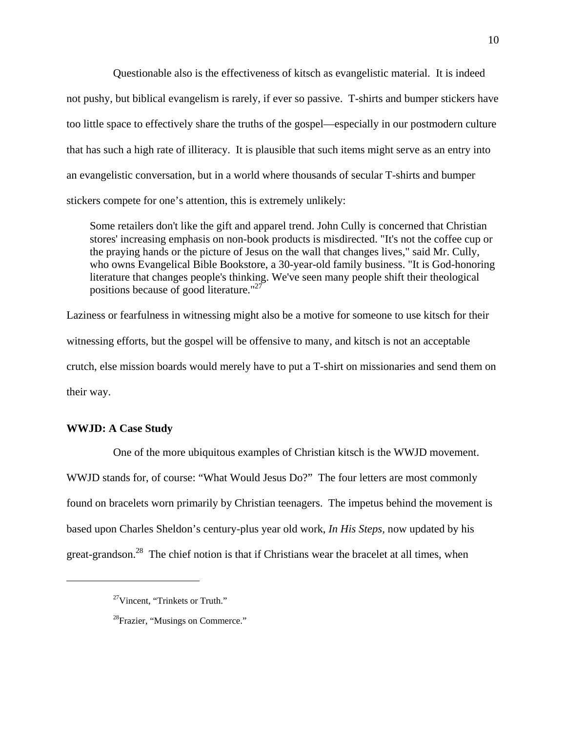Questionable also is the effectiveness of kitsch as evangelistic material. It is indeed not pushy, but biblical evangelism is rarely, if ever so passive. T-shirts and bumper stickers have too little space to effectively share the truths of the gospel—especially in our postmodern culture that has such a high rate of illiteracy. It is plausible that such items might serve as an entry into an evangelistic conversation, but in a world where thousands of secular T-shirts and bumper stickers compete for one's attention, this is extremely unlikely:

Some retailers don't like the gift and apparel trend. John Cully is concerned that Christian stores' increasing emphasis on non-book products is misdirected. "It's not the coffee cup or the praying hands or the picture of Jesus on the wall that changes lives," said Mr. Cully, who owns Evangelical Bible Bookstore, a 30-year-old family business. "It is God-honoring literature that changes people's thinking. We've seen many people shift their theological positions because of good literature."27

Laziness or fearfulness in witnessing might also be a motive for someone to use kitsch for their witnessing efforts, but the gospel will be offensive to many, and kitsch is not an acceptable crutch, else mission boards would merely have to put a T-shirt on missionaries and send them on their way.

# **WWJD: A Case Study**

 $\overline{a}$ 

One of the more ubiquitous examples of Christian kitsch is the WWJD movement. WWJD stands for, of course: "What Would Jesus Do?" The four letters are most commonly found on bracelets worn primarily by Christian teenagers. The impetus behind the movement is based upon Charles Sheldon's century-plus year old work, *In His Steps,* now updated by his great-grandson.<sup>28</sup> The chief notion is that if Christians wear the bracelet at all times, when

<sup>27</sup>Vincent, "Trinkets or Truth."

<sup>&</sup>lt;sup>28</sup>Frazier, "Musings on Commerce."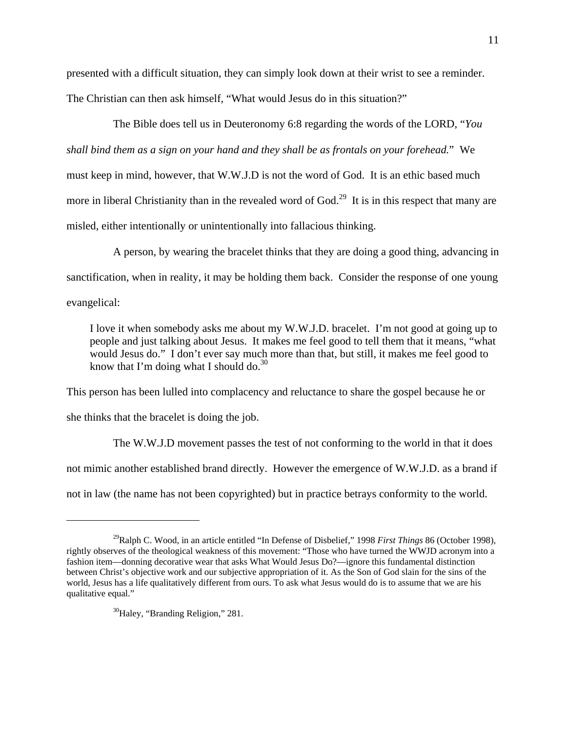presented with a difficult situation, they can simply look down at their wrist to see a reminder. The Christian can then ask himself, "What would Jesus do in this situation?"

The Bible does tell us in Deuteronomy 6:8 regarding the words of the LORD, "*You shall bind them as a sign on your hand and they shall be as frontals on your forehead.*" We must keep in mind, however, that W.W.J.D is not the word of God. It is an ethic based much more in liberal Christianity than in the revealed word of  $God.^{29}$  It is in this respect that many are misled, either intentionally or unintentionally into fallacious thinking.

A person, by wearing the bracelet thinks that they are doing a good thing, advancing in sanctification, when in reality, it may be holding them back. Consider the response of one young evangelical:

I love it when somebody asks me about my W.W.J.D. bracelet. I'm not good at going up to people and just talking about Jesus. It makes me feel good to tell them that it means, "what would Jesus do." I don't ever say much more than that, but still, it makes me feel good to know that I'm doing what I should do. $^{30}$ 

This person has been lulled into complacency and reluctance to share the gospel because he or she thinks that the bracelet is doing the job.

 The W.W.J.D movement passes the test of not conforming to the world in that it does not mimic another established brand directly. However the emergence of W.W.J.D. as a brand if not in law (the name has not been copyrighted) but in practice betrays conformity to the world.

 $\overline{a}$ 

<sup>29</sup>Ralph C. Wood, in an article entitled "In Defense of Disbelief," 1998 *First Things* 86 (October 1998), rightly observes of the theological weakness of this movement: "Those who have turned the WWJD acronym into a fashion item—donning decorative wear that asks What Would Jesus Do?—ignore this fundamental distinction between Christ's objective work and our subjective appropriation of it. As the Son of God slain for the sins of the world, Jesus has a life qualitatively different from ours. To ask what Jesus would do is to assume that we are his qualitative equal."

<sup>&</sup>lt;sup>30</sup>Haley, "Branding Religion," 281.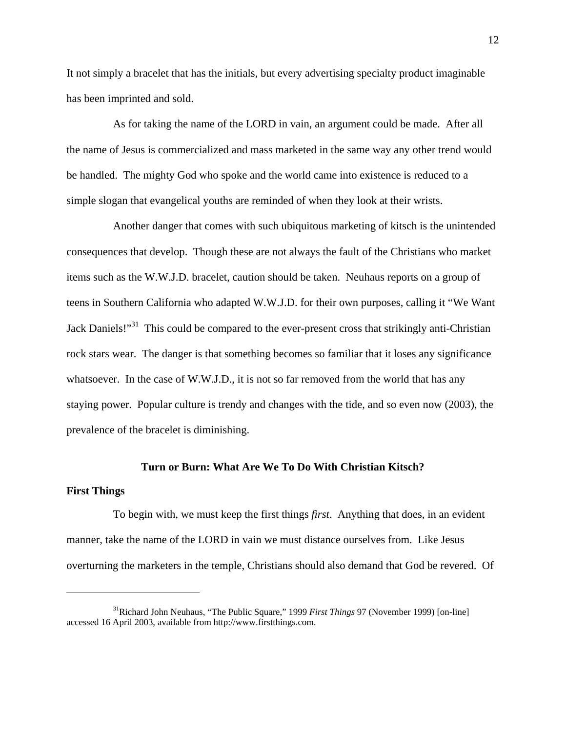It not simply a bracelet that has the initials, but every advertising specialty product imaginable has been imprinted and sold.

 As for taking the name of the LORD in vain, an argument could be made. After all the name of Jesus is commercialized and mass marketed in the same way any other trend would be handled. The mighty God who spoke and the world came into existence is reduced to a simple slogan that evangelical youths are reminded of when they look at their wrists.

Another danger that comes with such ubiquitous marketing of kitsch is the unintended consequences that develop. Though these are not always the fault of the Christians who market items such as the W.W.J.D. bracelet, caution should be taken. Neuhaus reports on a group of teens in Southern California who adapted W.W.J.D. for their own purposes, calling it "We Want Jack Daniels!"<sup>31</sup> This could be compared to the ever-present cross that strikingly anti-Christian rock stars wear. The danger is that something becomes so familiar that it loses any significance whatsoever. In the case of W.W.J.D., it is not so far removed from the world that has any staying power. Popular culture is trendy and changes with the tide, and so even now (2003), the prevalence of the bracelet is diminishing.

## **Turn or Burn: What Are We To Do With Christian Kitsch?**

## **First Things**

 $\overline{a}$ 

To begin with, we must keep the first things *first*. Anything that does, in an evident manner, take the name of the LORD in vain we must distance ourselves from. Like Jesus overturning the marketers in the temple, Christians should also demand that God be revered. Of

<sup>31</sup>Richard John Neuhaus, "The Public Square," 1999 *First Things* 97 (November 1999) [on-line] accessed 16 April 2003, available from http://www.firstthings.com.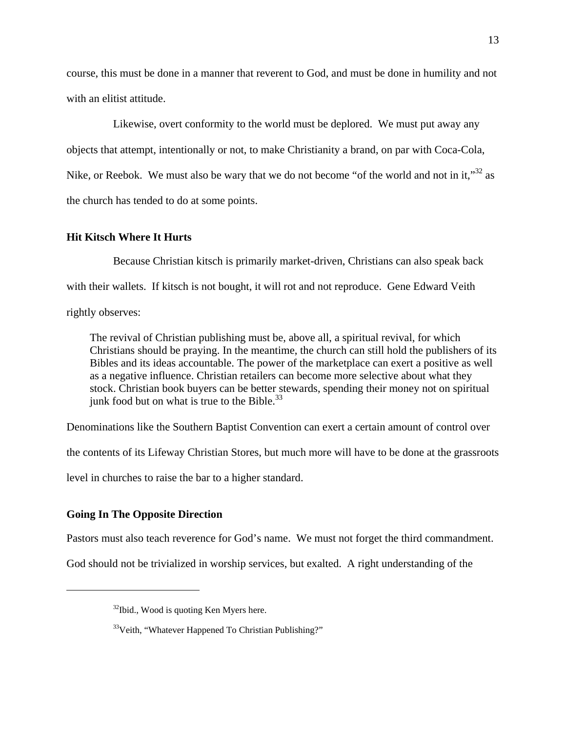course, this must be done in a manner that reverent to God, and must be done in humility and not with an elitist attitude.

Likewise, overt conformity to the world must be deplored. We must put away any objects that attempt, intentionally or not, to make Christianity a brand, on par with Coca-Cola, Nike, or Reebok. We must also be wary that we do not become "of the world and not in it," $32$  as the church has tended to do at some points.

## **Hit Kitsch Where It Hurts**

Because Christian kitsch is primarily market-driven, Christians can also speak back with their wallets. If kitsch is not bought, it will rot and not reproduce. Gene Edward Veith rightly observes:

The revival of Christian publishing must be, above all, a spiritual revival, for which Christians should be praying. In the meantime, the church can still hold the publishers of its Bibles and its ideas accountable. The power of the marketplace can exert a positive as well as a negative influence. Christian retailers can become more selective about what they stock. Christian book buyers can be better stewards, spending their money not on spiritual junk food but on what is true to the Bible. $^{33}$ 

Denominations like the Southern Baptist Convention can exert a certain amount of control over

the contents of its Lifeway Christian Stores, but much more will have to be done at the grassroots

level in churches to raise the bar to a higher standard.

# **Going In The Opposite Direction**

 $\overline{a}$ 

Pastors must also teach reverence for God's name. We must not forget the third commandment.

God should not be trivialized in worship services, but exalted. A right understanding of the

 $32$ Ibid., Wood is quoting Ken Myers here.

 $33\text{V}$ eith, "Whatever Happened To Christian Publishing?"